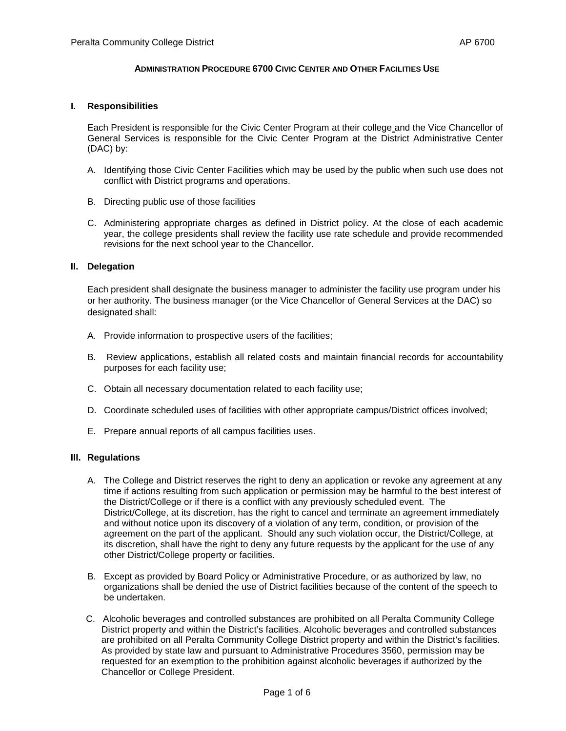## **ADMINISTRATION PROCEDURE 6700 CIVIC CENTER AND OTHER FACILITIES USE**

#### **I. Responsibilities**

Each President is responsible for the Civic Center Program at their college and the Vice Chancellor of General Services is responsible for the Civic Center Program at the District Administrative Center (DAC) by:

- A. Identifying those Civic Center Facilities which may be used by the public when such use does not conflict with District programs and operations.
- B. Directing public use of those facilities
- C. Administering appropriate charges as defined in District policy. At the close of each academic year, the college presidents shall review the facility use rate schedule and provide recommended revisions for the next school year to the Chancellor.

#### **II. Delegation**

Each president shall designate the business manager to administer the facility use program under his or her authority. The business manager (or the Vice Chancellor of General Services at the DAC) so designated shall:

- A. Provide information to prospective users of the facilities;
- B. Review applications, establish all related costs and maintain financial records for accountability purposes for each facility use;
- C. Obtain all necessary documentation related to each facility use;
- D. Coordinate scheduled uses of facilities with other appropriate campus/District offices involved;
- E. Prepare annual reports of all campus facilities uses.

## **III. Regulations**

- A. The College and District reserves the right to deny an application or revoke any agreement at any time if actions resulting from such application or permission may be harmful to the best interest of the District/College or if there is a conflict with any previously scheduled event. The District/College, at its discretion, has the right to cancel and terminate an agreement immediately and without notice upon its discovery of a violation of any term, condition, or provision of the agreement on the part of the applicant. Should any such violation occur, the District/College, at its discretion, shall have the right to deny any future requests by the applicant for the use of any other District/College property or facilities.
- B. Except as provided by Board Policy or Administrative Procedure, or as authorized by law, no organizations shall be denied the use of District facilities because of the content of the speech to be undertaken.
- C. Alcoholic beverages and controlled substances are prohibited on all Peralta Community College District property and within the District's facilities. Alcoholic beverages and controlled substances are prohibited on all Peralta Community College District property and within the District's facilities. As provided by state law and pursuant to Administrative Procedures 3560, permission may be requested for an exemption to the prohibition against alcoholic beverages if authorized by the Chancellor or College President.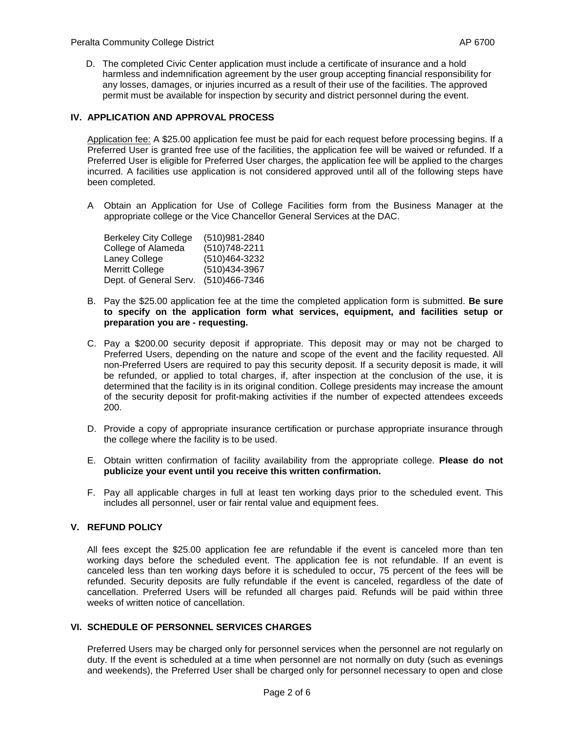D. The completed Civic Center application must include a certificate of insurance and a hold harmless and indemnification agreement by the user group accepting financial responsibility for any losses, damages, or injuries incurred as a result of their use of the facilities. The approved permit must be available for inspection by security and district personnel during the event.

## **IV. APPLICATION AND APPROVAL PROCESS**

Application fee: A \$25.00 application fee must be paid for each request before processing begins. If a Preferred User is granted free use of the facilities, the application fee will be waived or refunded. If a Preferred User is eligible for Preferred User charges, the application fee will be applied to the charges incurred. A facilities use application is not considered approved until all of the following steps have been completed.

A Obtain an Application for Use of College Facilities form from the Business Manager at the appropriate college or the Vice Chancellor General Services at the DAC.

| <b>Berkeley City College</b> | (510)981-2840  |
|------------------------------|----------------|
| College of Alameda           | (510) 748-2211 |
| Laney College                | (510)464-3232  |
| Merritt College              | (510)434-3967  |
| Dept. of General Serv.       | (510)466-7346  |

- B. Pay the \$25.00 application fee at the time the completed application form is submitted. **Be sure to specify on the application form what services, equipment, and facilities setup or preparation you are - requesting.**
- C. Pay a \$200.00 security deposit if appropriate. This deposit may or may not be charged to Preferred Users, depending on the nature and scope of the event and the facility requested. All non-Preferred Users are required to pay this security deposit. If a security deposit is made, it will be refunded, or applied to total charges, if, after inspection at the conclusion of the use, it is determined that the facility is in its original condition. College presidents may increase the amount of the security deposit for profit-making activities if the number of expected attendees exceeds 200.
- D. Provide a copy of appropriate insurance certification or purchase appropriate insurance through the college where the facility is to be used.
- E. Obtain written confirmation of facility availability from the appropriate college. **Please do not publicize your event until you receive this written confirmation.**
- F. Pay all applicable charges in full at least ten working days prior to the scheduled event. This includes all personnel, user or fair rental value and equipment fees.

## **V. REFUND POLICY**

All fees except the \$25.00 application fee are refundable if the event is canceled more than ten working days before the scheduled event. The application fee is not refundable. If an event is canceled less than ten workin*g* days before it is scheduled to occur, 75 percent of the fees will be refunded. Security deposits are fully refundable if the event is canceled, regardless of the date of cancellation. Preferred Users will be refunded all charges paid. Refunds will be paid within three weeks of written notice of cancellation.

#### **VI. SCHEDULE OF PERSONNEL SERVICES CHARGES**

Preferred Users may be charged only for personnel services when the personnel are not regularly on duty. If the event is scheduled at a time when personnel are not normally on duty (such as evenings and weekends), the Preferred User shall be charged only for personnel necessary to open and close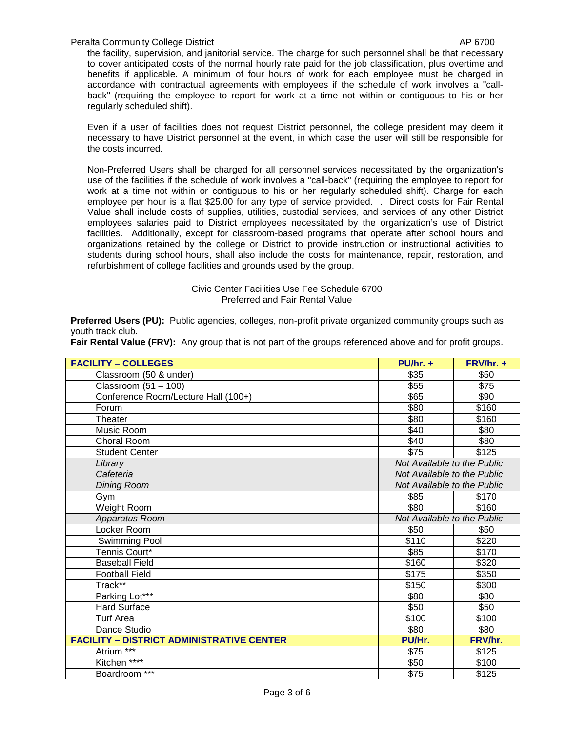Peralta Community College District AP 6700

the facility, supervision, and janitorial service. The charge for such personnel shall be that necessary to cover anticipated costs of the normal hourly rate paid for the job classification, plus overtime and benefits if applicable. A minimum of four hours of work for each employee must be charged in accordance with contractual agreements with employees if the schedule of work involves a "callback" (requiring the employee to report for work at a time not within or contiguous to his or her regularly scheduled shift).

Even if a user of facilities does not request District personnel, the college president may deem it necessary to have District personnel at the event, in which case the user will still be responsible for the costs incurred.

Non-Preferred Users shall be charged for all personnel services necessitated by the organization's use of the facilities if the schedule of work involves a "call-back" (requiring the employee to report for work at a time not within or contiguous to his or her regularly scheduled shift). Charge for each employee per hour is a flat \$25.00 for any type of service provided. . Direct costs for Fair Rental Value shall include costs of supplies, utilities, custodial services, and services of any other District employees salaries paid to District employees necessitated by the organization's use of District facilities. Additionally, except for classroom-based programs that operate after school hours and organizations retained by the college or District to provide instruction or instructional activities to students during school hours, shall also include the costs for maintenance, repair, restoration, and refurbishment of college facilities and grounds used by the group.

> Civic Center Facilities Use Fee Schedule 6700 Preferred and Fair Rental Value

**Preferred Users (PU):** Public agencies, colleges, non-profit private organized community groups such as youth track club.

| <b>FACILITY - COLLEGES</b>                       | $PU/hr. +$                  | $FRV/hr. +$ |  |
|--------------------------------------------------|-----------------------------|-------------|--|
| Classroom (50 & under)                           | \$35                        | \$50        |  |
| Classroom $(51 – 100)$                           | \$55                        | \$75        |  |
| Conference Room/Lecture Hall (100+)              | \$65                        | \$90        |  |
| Forum                                            | \$80                        | \$160       |  |
| Theater                                          | \$80                        | \$160       |  |
| Music Room                                       | \$40                        | \$80        |  |
| <b>Choral Room</b>                               | \$40                        | \$80        |  |
| <b>Student Center</b>                            | $\overline{$75}$            | \$125       |  |
| Library                                          | Not Available to the Public |             |  |
| Cafeteria                                        | Not Available to the Public |             |  |
| <b>Dining Room</b>                               | Not Available to the Public |             |  |
| Gym                                              | \$85                        | \$170       |  |
| Weight Room                                      | \$80                        | \$160       |  |
| Apparatus Room                                   | Not Available to the Public |             |  |
| Locker Room                                      | \$50                        | \$50        |  |
| Swimming Pool                                    | \$110                       | \$220       |  |
| Tennis Court*                                    | \$85                        | \$170       |  |
| <b>Baseball Field</b>                            | \$160                       | \$320       |  |
| <b>Football Field</b>                            | \$175                       | \$350       |  |
| Track**                                          | \$150                       | \$300       |  |
| Parking Lot***                                   | \$80                        | \$80        |  |
| <b>Hard Surface</b>                              | \$50                        | \$50        |  |
| <b>Turf Area</b>                                 | \$100                       | \$100       |  |
| Dance Studio                                     | \$80                        | \$80        |  |
| <b>FACILITY - DISTRICT ADMINISTRATIVE CENTER</b> | PU/Hr.                      | FRV/hr.     |  |
| Atrium <sup>***</sup>                            | \$75                        | \$125       |  |
| Kitchen <sup>****</sup>                          | \$50                        | \$100       |  |
| Boardroom ***                                    | \$75                        | \$125       |  |

**Fair Rental Value (FRV):** Any group that is not part of the groups referenced above and for profit groups.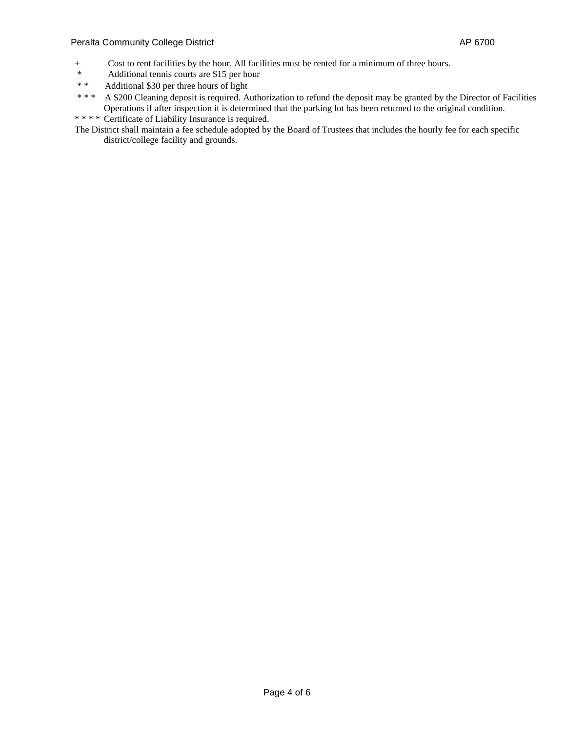#### Peralta Community College District **AP 6700**

- + Cost to rent facilities by the hour. All facilities must be rented for a minimum of three hours.<br>Additional tennis courts are \$15 per hour
- \* Additional tennis courts are \$15 per hour<br>\*  $\frac{4}{30}$  and Additional \$30 per three hours of light
- \* \* Additional \$30 per three hours of light<br>\* \* \* A \$200 Cleaning denosit is required A
- A \$200 Cleaning deposit is required. Authorization to refund the deposit may be granted by the Director of Facilities Operations if after inspection it is determined that the parking lot has been returned to the original condition.
- \* \* \* \* Certificate of Liability Insurance is required.
- The District shall maintain a fee schedule adopted by the Board of Trustees that includes the hourly fee for each specific district/college facility and grounds.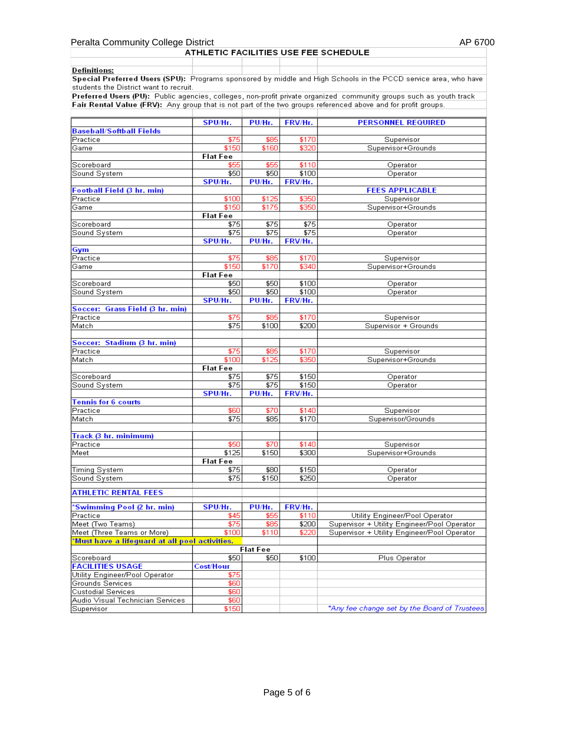# Peralta Community College District<br>AP 6700<br>ATHLETIC FACILITIES USE FEE SCHEDULE

| Definitions:                                                                                                    |  |  |  |  |
|-----------------------------------------------------------------------------------------------------------------|--|--|--|--|
| Special Preferred Users (SPU): Programs sponsored by middle and High Schools in the PCCD service area, who have |  |  |  |  |
| students the District want to recruit.                                                                          |  |  |  |  |

Preferred Users (PU): Public agencies, colleges, non-profit private organized community groups such as youth track<br>Fair Rental Value (FRV): Any group that is not part of the two groups referenced above and for profit group

|                                                | SPU/Hr.         | PU/Hr.          | FRV/Hr. | <b>PERSONNEL REQUIRED</b>                    |
|------------------------------------------------|-----------------|-----------------|---------|----------------------------------------------|
| <b>Baseball/Softball Fields</b>                |                 |                 |         |                                              |
| Practice                                       | \$75            | \$85            | \$170   | Supervisor                                   |
| Game                                           | \$150           | \$160           | \$320   | Supervisor+Grounds                           |
|                                                | <b>Flat Fee</b> |                 |         |                                              |
| Scoreboard                                     | \$55            | \$55            | \$110   | Operator                                     |
| Sound System                                   | \$50            | \$50            | \$100   | Operator                                     |
|                                                | SPU/Hr.         | PU/Hr.          | FRV/Hr. |                                              |
| Football Field (3 hr. min)                     |                 |                 |         | <b>FEES APPLICABLE</b>                       |
| Practice                                       | \$100           | \$125           | \$350   | Supervisor                                   |
| Game                                           | \$150           | \$175           | \$350   | Supervisor+Grounds                           |
|                                                | <b>Flat Fee</b> |                 |         |                                              |
| Scoreboard                                     | \$75            | \$75            | \$75    | Operator                                     |
| Sound System                                   | \$75<br>SPU/Hr. | \$75            | \$75    | Operator                                     |
|                                                |                 | PU/Hr.          | FRV/Hr. |                                              |
| <b>Gym</b><br>Practice                         | \$75            | \$85            | \$170   |                                              |
| Game                                           | \$150           | \$170           | \$340   | Supervisor<br>Supervisor+Grounds             |
|                                                | <b>Flat Fee</b> |                 |         |                                              |
| Scoreboard                                     | \$50            | \$50            | \$100   | Operator                                     |
| Sound System                                   | \$50            | \$50            | \$100   | Operator                                     |
|                                                | SPU/Hr.         | PU/Hr.          | FRV/Hr. |                                              |
| Soccer: Grass Field (3 hr. min)                |                 |                 |         |                                              |
| Practice                                       | \$75            | \$85            | \$170   | Supervisor                                   |
| Match                                          | \$75            | \$100           | \$200   | Supervisor + Grounds                         |
|                                                |                 |                 |         |                                              |
| Soccer: Stadium (3 hr. min)                    |                 |                 |         |                                              |
| Practice                                       | \$75            | \$85            | \$170   | Supervisor                                   |
| Match                                          | \$100           | \$125           | \$350   | Supervisor+Grounds                           |
|                                                | <b>Flat Fee</b> |                 |         |                                              |
| Scoreboard                                     | \$75            | \$75            | \$150   | Operator                                     |
| Sound System                                   | \$75            | \$75            | \$150   | Operator                                     |
|                                                | SPU/Hr.         | PU/Hr.          | FRV/Hr. |                                              |
| <b>Tennis for 6 courts</b>                     |                 |                 |         |                                              |
| Practice                                       | \$60            | \$70            | \$140   | Supervisor                                   |
| Match                                          | $\frac{1}{15}$  | \$85            | \$170   | Supervisor/Grounds                           |
|                                                |                 |                 |         |                                              |
| Track (3 hr. minimum)                          |                 |                 |         |                                              |
| Practice                                       | \$50            | \$70            | \$140   | Supervisor                                   |
| Meet                                           | \$125           | \$150           | \$300   | Supervisor+Grounds                           |
|                                                | <b>Flat Fee</b> |                 |         |                                              |
| Timing System                                  | \$75            | \$80            | \$150   | Operator                                     |
| Sound System                                   | \$75            | \$150           | \$250   | Operator                                     |
|                                                |                 |                 |         |                                              |
| <b>ATHLETIC RENTAL FEES</b>                    |                 |                 |         |                                              |
| 'Swimming Pool (2 hr. min)                     | SPU/Hr.         | PU/Hr.          | FRV/Hr. |                                              |
| Practice                                       | \$45            | \$55            | \$110   | Utility Engineer/Pool Operator               |
| Meet (Two Teams)                               | \$75            | \$85            | \$200   | Supervisor + Utility Engineer/Pool Operator  |
| Meet (Three Teams or More)                     | \$100           | \$110           | \$220   | Supervisor + Utility Engineer/Pool Operator  |
| 'Must have a lifeguard at all pool activities. |                 |                 |         |                                              |
|                                                |                 | <b>Flat Fee</b> |         |                                              |
| Scoreboard                                     | \$50            | \$50            | \$100   | Plus Operator                                |
| <b>FACILITIES USAGE</b>                        | Cost/Hour       |                 |         |                                              |
| Utility Engineer/Pool Operator                 | \$75            |                 |         |                                              |
| Grounds Services                               | \$60            |                 |         |                                              |
| <b>Custodial Services</b>                      | \$60            |                 |         |                                              |
| Audio Visual Technician Services               | \$60            |                 |         |                                              |
| Supervisor                                     | \$150           |                 |         | *Any fee change set by the Board of Trustees |